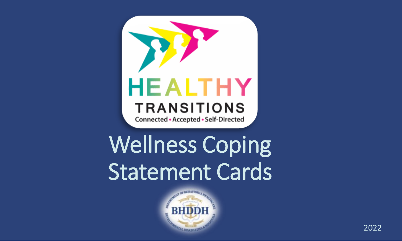

Wellness Coping Statement Cards

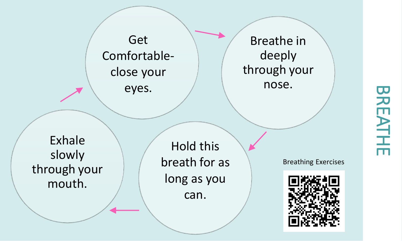

Exhale slowly through your mouth.

Hold this breath for as long as you can.

Breathing Exercises



## **BREATHE** BREATHE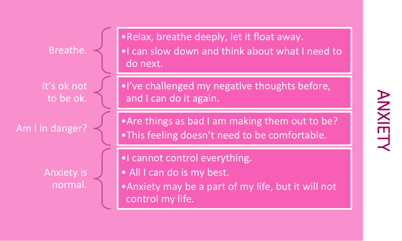Breathe.

It's ok not to be ok.

Anxiety is normal. •Relax, breathe deeply, let it float away. •I can slow down and think about what I need to do next.

•I've challenged my negative thoughts before, and I can do it again.

Am I in danger? • Are things as bad I am making them out to be? •This feeling doesn't need to be comfortable.

•I cannot control everything.

- All I can do is my best.
- •Anxiety may be a part of my life, but it will not control my life.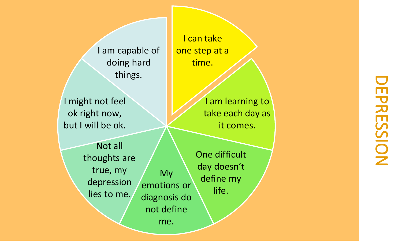I am capable of doing hard things.

I might not feel ok right now, but I will be ok.

> Not all thoughts are true, my depression lies to me.

My emotions or diagnosis do not define me.

One difficult day doesn't define my life.

I can take one step at a time.

> I am learning to take each day as it comes.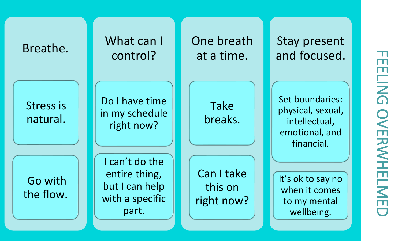| Breathe.              | What can I<br>control?                                                        | One breath<br>at a time.            | Stay present<br>and focused.                                                          | ᆩ<br>m                 |
|-----------------------|-------------------------------------------------------------------------------|-------------------------------------|---------------------------------------------------------------------------------------|------------------------|
| Stress is<br>natural. | Do I have time<br>in my schedule<br>right now?                                | Take<br>breaks.                     | Set boundaries:<br>physical, sexual,<br>intellectual,<br>emotional, and<br>financial. | <b>ELING</b><br>OVERWH |
| Go with<br>the flow.  | I can't do the<br>entire thing,<br>but I can help<br>with a specific<br>part. | Can I take<br>this on<br>right now? | It's ok to say no<br>when it comes<br>to my mental<br>wellbeing.                      | <b>ELM</b><br>m<br>▭   |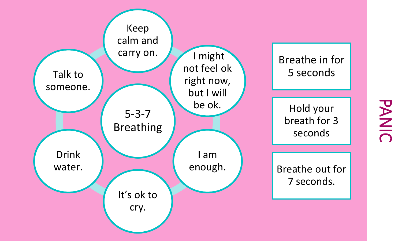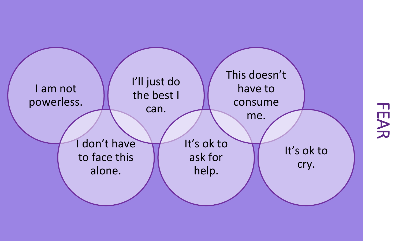

FEAR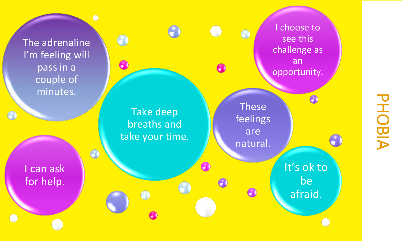The adrenaline I'm feeling will pass in a couple of minutes.

I can ask for help.

 $\odot$ 

I choose to see this challenge as an opportunity.

**These** feelings are natural.

 $\bullet$ 

 $\bullet$ 

A

A

Take deep breaths and take your time.

 $\bullet$ 

 $\bullet$ 

 $\bullet$ 

 $\overline{O}$ 

It's ok to be afraid.

 $\bullet$ 

# PHOBIA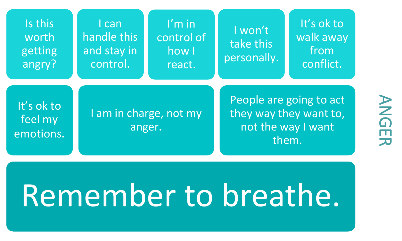| Is this<br>worth<br>getting<br>angry? | l can<br>handle this<br>and stay in<br>control. | $l'm$ in<br>control of<br>how I<br>react. | I won't<br>take this<br>personally.                                              | It's ok to<br>walk away<br>from<br>conflict. |
|---------------------------------------|-------------------------------------------------|-------------------------------------------|----------------------------------------------------------------------------------|----------------------------------------------|
| It's ok to<br>feel my<br>emotions.    | I am in charge, not my<br>anger.                |                                           | People are going to act<br>they way they want to,<br>not the way I want<br>them. |                                              |

### Remember to breathe.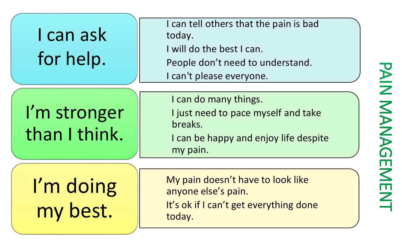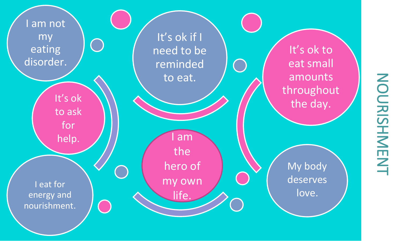## NOURISHMENT NOURISHMENT

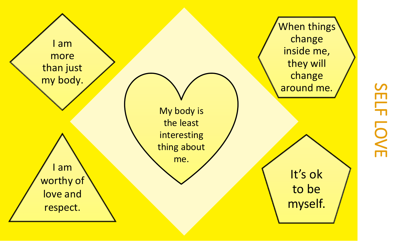

## **SELF LOVE** SELF LOVE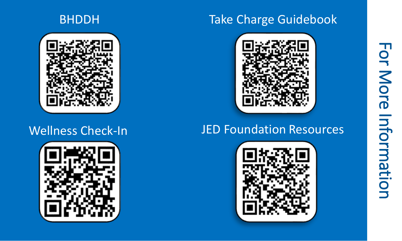#### **BHDDH**



#### Wellness Check-In



#### Take Charge Guidebook



#### JED Foundation Resources